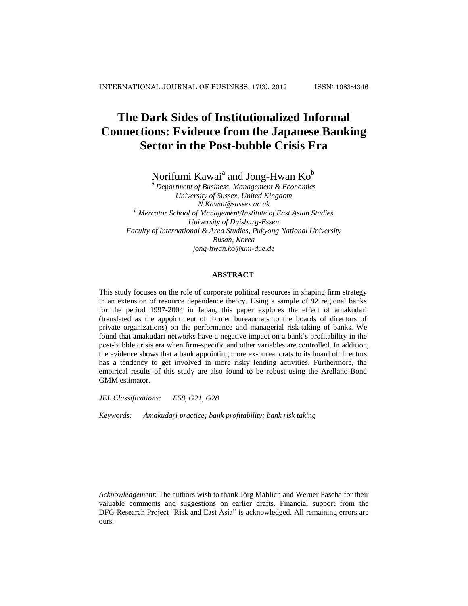# **The Dark Sides of Institutionalized Informal Connections: Evidence from the Japanese Banking Sector in the Post-bubble Crisis Era**

Norifumi Kawai $^{\rm a}$  and Jong-Hwan Ko $^{\rm b}$ 

*<sup>a</sup> Department of Business, Management & Economics University of Sussex, United Kingdom [N.Kawai@sussex.ac.uk](mailto:N.Kawai@sussex.ac.uk) <sup>b</sup> Mercator School of Management/Institute of East Asian Studies University of Duisburg-Essen Faculty of International & Area Studies, Pukyong National University Busan, Korea jong-hwan.ko@uni-due.de*

#### **ABSTRACT**

This study focuses on the role of corporate political resources in shaping firm strategy in an extension of resource dependence theory. Using a sample of 92 regional banks for the period 1997-2004 in Japan, this paper explores the effect of amakudari (translated as the appointment of former bureaucrats to the boards of directors of private organizations) on the performance and managerial risk-taking of banks. We found that amakudari networks have a negative impact on a bank's profitability in the post-bubble crisis era when firm-specific and other variables are controlled. In addition, the evidence shows that a bank appointing more ex-bureaucrats to its board of directors has a tendency to get involved in more risky lending activities. Furthermore, the empirical results of this study are also found to be robust using the Arellano-Bond GMM estimator.

*JEL Classifications: E58, G21, G28*

*Keywords: Amakudari practice; bank profitability; bank risk taking*

*Acknowledgement*: The authors wish to thank Jörg Mahlich and Werner Pascha for their valuable comments and suggestions on earlier drafts. Financial support from the DFG-Research Project "Risk and East Asia" is acknowledged. All remaining errors are ours.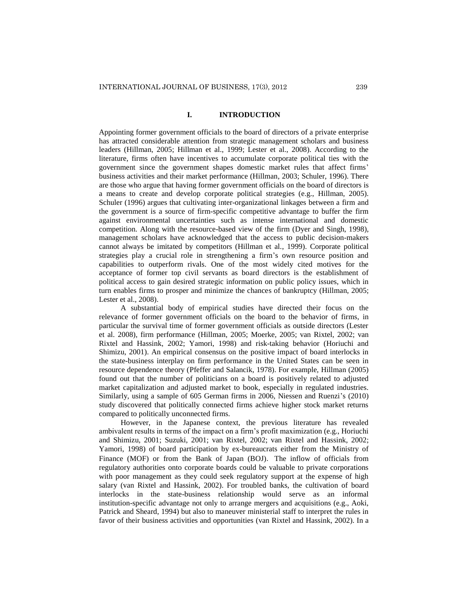## **I. INTRODUCTION**

Appointing former government officials to the board of directors of a private enterprise has attracted considerable attention from strategic management scholars and business leaders (Hillman, 2005; Hillman et al., 1999; Lester et al., 2008). According to the literature, firms often have incentives to accumulate corporate political ties with the government since the government shapes domestic market rules that affect firms' business activities and their market performance (Hillman, 2003; Schuler, 1996). There are those who argue that having former government officials on the board of directors is a means to create and develop corporate political strategies (e.g., Hillman, 2005). Schuler (1996) argues that cultivating inter-organizational linkages between a firm and the government is a source of firm-specific competitive advantage to buffer the firm against environmental uncertainties such as intense international and domestic competition. Along with the resource-based view of the firm (Dyer and Singh, 1998), management scholars have acknowledged that the access to public decision-makers cannot always be imitated by competitors (Hillman et al., 1999). Corporate political strategies play a crucial role in strengthening a firm's own resource position and capabilities to outperform rivals. One of the most widely cited motives for the acceptance of former top civil servants as board directors is the establishment of political access to gain desired strategic information on public policy issues, which in turn enables firms to prosper and minimize the chances of bankruptcy (Hillman, 2005; Lester et al., 2008).

A substantial body of empirical studies have directed their focus on the relevance of former government officials on the board to the behavior of firms, in particular the survival time of former government officials as outside directors (Lester et al. 2008), firm performance (Hillman, 2005; Moerke, 2005; van Rixtel, 2002; van Rixtel and Hassink, 2002; Yamori, 1998) and risk-taking behavior (Horiuchi and Shimizu, 2001). An empirical consensus on the positive impact of board interlocks in the state-business interplay on firm performance in the United States can be seen in resource dependence theory (Pfeffer and Salancik, 1978). For example, Hillman (2005) found out that the number of politicians on a board is positively related to adjusted market capitalization and adjusted market to book, especially in regulated industries. Similarly, using a sample of 605 German firms in 2006, Niessen and Ruenzi's (2010) study discovered that politically connected firms achieve higher stock market returns compared to politically unconnected firms.

However, in the Japanese context, the previous literature has revealed ambivalent results in terms of the impact on a firm's profit maximization (e.g., Horiuchi and Shimizu, 2001; Suzuki, 2001; van Rixtel, 2002; van Rixtel and Hassink, 2002; Yamori, 1998) of board participation by ex-bureaucrats either from the Ministry of Finance (MOF) or from the Bank of Japan (BOJ). The inflow of officials from regulatory authorities onto corporate boards could be valuable to private corporations with poor management as they could seek regulatory support at the expense of high salary (van Rixtel and Hassink, 2002). For troubled banks, the cultivation of board interlocks in the state-business relationship would serve as an informal institution-specific advantage not only to arrange mergers and acquisitions (e.g., Aoki, Patrick and Sheard, 1994) but also to maneuver ministerial staff to interpret the rules in favor of their business activities and opportunities (van Rixtel and Hassink, 2002). In a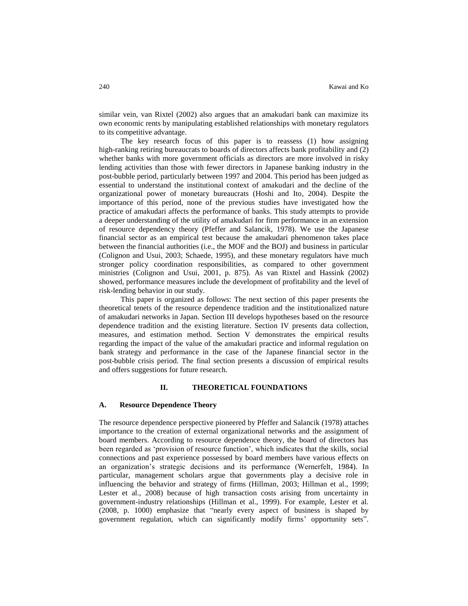similar vein, van Rixtel (2002) also argues that an amakudari bank can maximize its own economic rents by manipulating established relationships with monetary regulators to its competitive advantage.

The key research focus of this paper is to reassess (1) how assigning high-ranking retiring bureaucrats to boards of directors affects bank profitability and (2) whether banks with more government officials as directors are more involved in risky lending activities than those with fewer directors in Japanese banking industry in the post-bubble period, particularly between 1997 and 2004. This period has been judged as essential to understand the institutional context of amakudari and the decline of the organizational power of monetary bureaucrats (Hoshi and Ito, 2004). Despite the importance of this period, none of the previous studies have investigated how the practice of amakudari affects the performance of banks. This study attempts to provide a deeper understanding of the utility of amakudari for firm performance in an extension of resource dependency theory (Pfeffer and Salancik, 1978). We use the Japanese financial sector as an empirical test because the amakudari phenomenon takes place between the financial authorities (i.e., the MOF and the BOJ) and business in particular (Colignon and Usui, 2003; Schaede, 1995), and these monetary regulators have much stronger policy coordination responsibilities, as compared to other government ministries (Colignon and Usui, 2001, p. 875). As van Rixtel and Hassink (2002) showed, performance measures include the development of profitability and the level of risk-lending behavior in our study.

This paper is organized as follows: The next section of this paper presents the theoretical tenets of the resource dependence tradition and the institutionalized nature of amakudari networks in Japan. Section III develops hypotheses based on the resource dependence tradition and the existing literature. Section IV presents data collection, measures, and estimation method. Section V demonstrates the empirical results regarding the impact of the value of the amakudari practice and informal regulation on bank strategy and performance in the case of the Japanese financial sector in the post-bubble crisis period. The final section presents a discussion of empirical results and offers suggestions for future research.

#### **II. THEORETICAL FOUNDATIONS**

#### **A. Resource Dependence Theory**

The resource dependence perspective pioneered by Pfeffer and Salancik (1978) attaches importance to the creation of external organizational networks and the assignment of board members. According to resource dependence theory, the board of directors has been regarded as 'provision of resource function', which indicates that the skills, social connections and past experience possessed by board members have various effects on an organization's strategic decisions and its performance (Wernerfelt, 1984). In particular, management scholars argue that governments play a decisive role in influencing the behavior and strategy of firms (Hillman, 2003; Hillman et al., 1999; Lester et al., 2008) because of high transaction costs arising from uncertainty in government-industry relationships (Hillman et al., 1999). For example, Lester et al. (2008, p. 1000) emphasize that "nearly every aspect of business is shaped by government regulation, which can significantly modify firms' opportunity sets".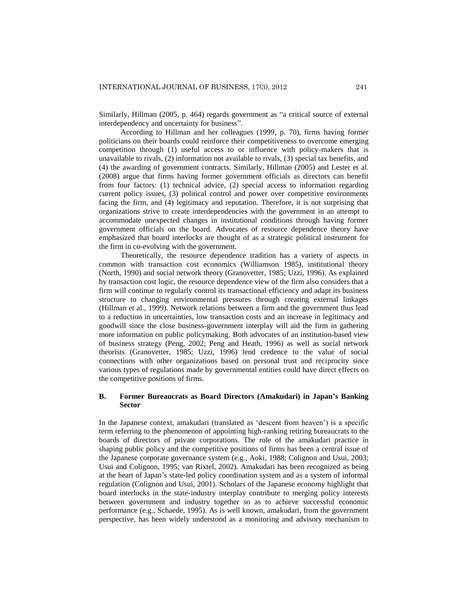Similarly, Hillman (2005, p. 464) regards government as "a critical source of external interdependency and uncertainty for business".

According to Hillman and her colleagues (1999, p. 70), firms having former politicians on their boards could reinforce their competitiveness to overcome emerging competition through (1) useful access to or influence with policy-makers that is unavailable to rivals, (2) information not available to rivals, (3) special tax benefits, and (4) the awarding of government contracts. Similarly, Hillman (2005) and Lester et al. (2008) argue that firms having former government officials as directors can benefit from four factors: (1) technical advice, (2) special access to information regarding current policy issues, (3) political control and power over competitive environments facing the firm, and (4) legitimacy and reputation. Therefore, it is not surprising that organizations strive to create interdependencies with the government in an attempt to accommodate unexpected changes in institutional conditions through having former government officials on the board. Advocates of resource dependence theory have emphasized that board interlocks are thought of as a strategic political instrument for the firm in co-evolving with the government.

Theoretically, the resource dependence tradition has a variety of aspects in common with transaction cost economics (Williamson 1985), institutional theory (North, 1990) and social network theory (Granovetter, 1985; Uzzi, 1996). As explained by transaction cost logic, the resource dependence view of the firm also considers that a firm will continue to regularly control its transactional efficiency and adapt its business structure to changing environmental pressures through creating external linkages (Hillman et al., 1999). Network relations between a firm and the government thus lead to a reduction in uncertainties, low transaction costs and an increase in legitimacy and goodwill since the close business-government interplay will aid the firm in gathering more information on public policymaking. Both advocates of an institution-based view of business strategy (Peng, 2002; Peng and Heath, 1996) as well as social network theorists (Granovetter, 1985; Uzzi, 1996) lend credence to the value of social connections with other organizations based on personal trust and reciprocity since various types of regulations made by governmental entities could have direct effects on the competitive positions of firms.

## **B. Former Bureaucrats as Board Directors (Amakudari) in Japan's Banking Sector**

In the Japanese context, amakudari (translated as 'descent from heaven') is a specific term referring to the phenomenon of appointing high-ranking retiring bureaucrats to the boards of directors of private corporations. The role of the amakudari practice in shaping public policy and the competitive positions of firms has been a central issue of the Japanese corporate governance system (e.g., Aoki, 1988; Colignon and Usui, 2003; Usui and Colignon, 1995; van Rixtel, 2002). Amakudari has been recognized as being at the heart of Japan's state-led policy coordination system and as a system of informal regulation (Colignon and Usui, 2001). Scholars of the Japanese economy highlight that board interlocks in the state-industry interplay contribute to merging policy interests between government and industry together so as to achieve successful economic performance (e.g., Schaede, 1995). As is well known, amakudari, from the government perspective, has been widely understood as a monitoring and advisory mechanism to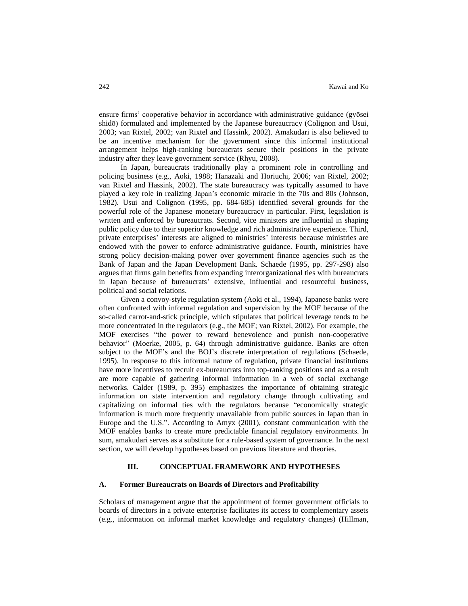ensure firms' cooperative behavior in accordance with administrative guidance (gyōsei shidō) formulated and implemented by the Japanese bureaucracy (Colignon and Usui, 2003; van Rixtel, 2002; van Rixtel and Hassink, 2002). Amakudari is also believed to be an incentive mechanism for the government since this informal institutional arrangement helps high-ranking bureaucrats secure their positions in the private industry after they leave government service (Rhyu, 2008).

In Japan, bureaucrats traditionally play a prominent role in controlling and policing business (e.g., Aoki, 1988; Hanazaki and Horiuchi, 2006; van Rixtel, 2002; van Rixtel and Hassink, 2002). The state bureaucracy was typically assumed to have played a key role in realizing Japan's economic miracle in the 70s and 80s (Johnson, 1982). Usui and Colignon (1995, pp. 684-685) identified several grounds for the powerful role of the Japanese monetary bureaucracy in particular. First, legislation is written and enforced by bureaucrats. Second, vice ministers are influential in shaping public policy due to their superior knowledge and rich administrative experience. Third, private enterprises' interests are aligned to ministries' interests because ministries are endowed with the power to enforce administrative guidance. Fourth, ministries have strong policy decision-making power over government finance agencies such as the Bank of Japan and the Japan Development Bank. Schaede (1995, pp. 297-298) also argues that firms gain benefits from expanding interorganizational ties with bureaucrats in Japan because of bureaucrats' extensive, influential and resourceful business, political and social relations.

Given a convoy-style regulation system (Aoki et al., 1994), Japanese banks were often confronted with informal regulation and supervision by the MOF because of the so-called carrot-and-stick principle, which stipulates that political leverage tends to be more concentrated in the regulators (e.g., the MOF; van Rixtel, 2002). For example, the MOF exercises "the power to reward benevolence and punish non-cooperative behavior" (Moerke, 2005, p. 64) through administrative guidance. Banks are often subject to the MOF's and the BOJ's discrete interpretation of regulations (Schaede, 1995). In response to this informal nature of regulation, private financial institutions have more incentives to recruit ex-bureaucrats into top-ranking positions and as a result are more capable of gathering informal information in a web of social exchange networks. Calder (1989, p. 395) emphasizes the importance of obtaining strategic information on state intervention and regulatory change through cultivating and capitalizing on informal ties with the regulators because "economically strategic information is much more frequently unavailable from public sources in Japan than in Europe and the U.S.". According to Amyx (2001), constant communication with the MOF enables banks to create more predictable financial regulatory environments. In sum, amakudari serves as a substitute for a rule-based system of governance. In the next section, we will develop hypotheses based on previous literature and theories.

# **III. CONCEPTUAL FRAMEWORK AND HYPOTHESES**

#### **A. Former Bureaucrats on Boards of Directors and Profitability**

Scholars of management argue that the appointment of former government officials to boards of directors in a private enterprise facilitates its access to complementary assets (e.g., information on informal market knowledge and regulatory changes) (Hillman,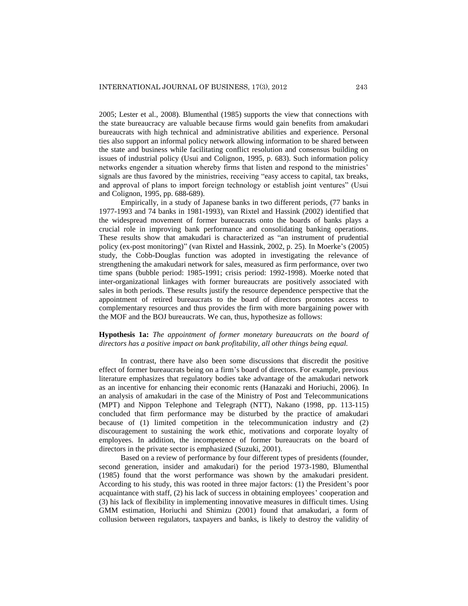2005; Lester et al., 2008). Blumenthal (1985) supports the view that connections with the state bureaucracy are valuable because firms would gain benefits from amakudari bureaucrats with high technical and administrative abilities and experience. Personal ties also support an informal policy network allowing information to be shared between the state and business while facilitating conflict resolution and consensus building on issues of industrial policy (Usui and Colignon, 1995, p. 683). Such information policy networks engender a situation whereby firms that listen and respond to the ministries' signals are thus favored by the ministries, receiving "easy access to capital, tax breaks, and approval of plans to import foreign technology or establish joint ventures" (Usui and Colignon, 1995, pp. 688-689).

Empirically, in a study of Japanese banks in two different periods, (77 banks in 1977-1993 and 74 banks in 1981-1993), van Rixtel and Hassink (2002) identified that the widespread movement of former bureaucrats onto the boards of banks plays a crucial role in improving bank performance and consolidating banking operations. These results show that amakudari is characterized as "an instrument of prudential policy (ex-post monitoring)" (van Rixtel and Hassink, 2002, p. 25). In Moerke's (2005) study, the Cobb-Douglas function was adopted in investigating the relevance of strengthening the amakudari network for sales, measured as firm performance, over two time spans (bubble period: 1985-1991; crisis period: 1992-1998). Moerke noted that inter-organizational linkages with former bureaucrats are positively associated with sales in both periods. These results justify the resource dependence perspective that the appointment of retired bureaucrats to the board of directors promotes access to complementary resources and thus provides the firm with more bargaining power with the MOF and the BOJ bureaucrats. We can, thus, hypothesize as follows:

## **Hypothesis 1a:** *The appointment of former monetary bureaucrats on the board of directors has a positive impact on bank profitability, all other things being equal.*

In contrast, there have also been some discussions that discredit the positive effect of former bureaucrats being on a firm's board of directors. For example, previous literature emphasizes that regulatory bodies take advantage of the amakudari network as an incentive for enhancing their economic rents (Hanazaki and Horiuchi, 2006). In an analysis of amakudari in the case of the Ministry of Post and Telecommunications (MPT) and Nippon Telephone and Telegraph (NTT), Nakano (1998, pp. 113-115) concluded that firm performance may be disturbed by the practice of amakudari because of (1) limited competition in the telecommunication industry and (2) discouragement to sustaining the work ethic, motivations and corporate loyalty of employees. In addition, the incompetence of former bureaucrats on the board of directors in the private sector is emphasized (Suzuki, 2001).

Based on a review of performance by four different types of presidents (founder, second generation, insider and amakudari) for the period 1973-1980, Blumenthal (1985) found that the worst performance was shown by the amakudari president. According to his study, this was rooted in three major factors: (1) the President's poor acquaintance with staff, (2) his lack of success in obtaining employees' cooperation and (3) his lack of flexibility in implementing innovative measures in difficult times. Using GMM estimation, Horiuchi and Shimizu (2001) found that amakudari, a form of collusion between regulators, taxpayers and banks, is likely to destroy the validity of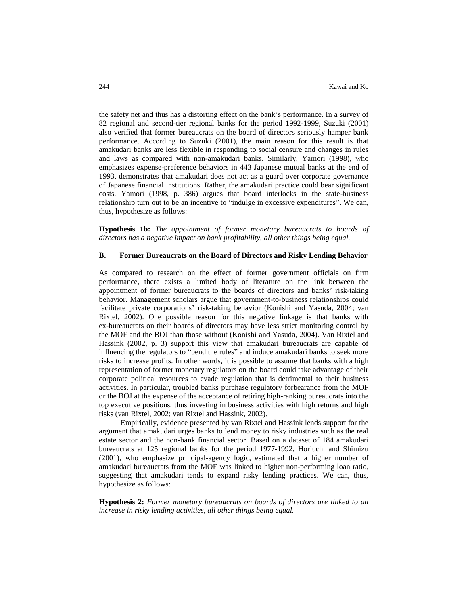the safety net and thus has a distorting effect on the bank's performance. In a survey of 82 regional and second-tier regional banks for the period 1992-1999, Suzuki (2001) also verified that former bureaucrats on the board of directors seriously hamper bank performance. According to Suzuki (2001), the main reason for this result is that amakudari banks are less flexible in responding to social censure and changes in rules and laws as compared with non-amakudari banks. Similarly, Yamori (1998), who emphasizes expense-preference behaviors in 443 Japanese mutual banks at the end of 1993, demonstrates that amakudari does not act as a guard over corporate governance of Japanese financial institutions. Rather, the amakudari practice could bear significant costs. Yamori (1998, p. 386) argues that board interlocks in the state-business relationship turn out to be an incentive to "indulge in excessive expenditures". We can, thus, hypothesize as follows:

**Hypothesis 1b:** *The appointment of former monetary bureaucrats to boards of directors has a negative impact on bank profitability, all other things being equal.*

#### **B. Former Bureaucrats on the Board of Directors and Risky Lending Behavior**

As compared to research on the effect of former government officials on firm performance, there exists a limited body of literature on the link between the appointment of former bureaucrats to the boards of directors and banks' risk-taking behavior. Management scholars argue that government-to-business relationships could facilitate private corporations' risk-taking behavior (Konishi and Yasuda, 2004; van Rixtel, 2002). One possible reason for this negative linkage is that banks with ex-bureaucrats on their boards of directors may have less strict monitoring control by the MOF and the BOJ than those without (Konishi and Yasuda, 2004). Van Rixtel and Hassink (2002, p. 3) support this view that amakudari bureaucrats are capable of influencing the regulators to "bend the rules" and induce amakudari banks to seek more risks to increase profits. In other words, it is possible to assume that banks with a high representation of former monetary regulators on the board could take advantage of their corporate political resources to evade regulation that is detrimental to their business activities. In particular, troubled banks purchase regulatory forbearance from the MOF or the BOJ at the expense of the acceptance of retiring high-ranking bureaucrats into the top executive positions, thus investing in business activities with high returns and high risks (van Rixtel, 2002; van Rixtel and Hassink, 2002).

Empirically, evidence presented by van Rixtel and Hassink lends support for the argument that amakudari urges banks to lend money to risky industries such as the real estate sector and the non-bank financial sector. Based on a dataset of 184 amakudari bureaucrats at 125 regional banks for the period 1977-1992, Horiuchi and Shimizu (2001), who emphasize principal-agency logic, estimated that a higher number of amakudari bureaucrats from the MOF was linked to higher non-performing loan ratio, suggesting that amakudari tends to expand risky lending practices. We can, thus, hypothesize as follows:

**Hypothesis 2:** *Former monetary bureaucrats on boards of directors are linked to an increase in risky lending activities, all other things being equal.*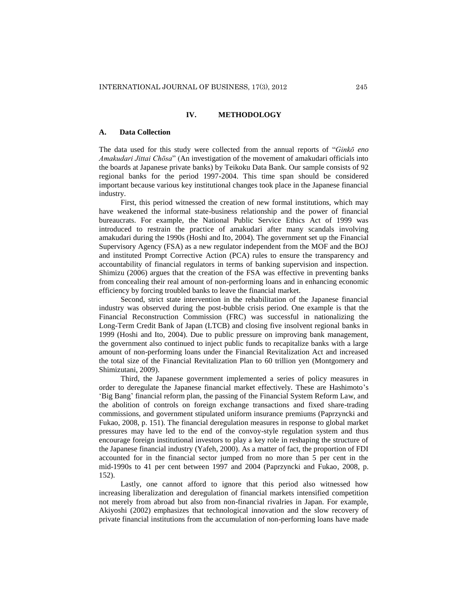## **IV. METHODOLOGY**

#### **A. Data Collection**

The data used for this study were collected from the annual reports of "*Ginkō eno Amakudari Jittai Chōsa*" (An investigation of the movement of amakudari officials into the boards at Japanese private banks) by Teikoku Data Bank. Our sample consists of 92 regional banks for the period 1997-2004. This time span should be considered important because various key institutional changes took place in the Japanese financial industry.

First, this period witnessed the creation of new formal institutions, which may have weakened the informal state-business relationship and the power of financial bureaucrats. For example, the National Public Service Ethics Act of 1999 was introduced to restrain the practice of amakudari after many scandals involving amakudari during the 1990s (Hoshi and Ito, 2004). The government set up the Financial Supervisory Agency (FSA) as a new regulator independent from the MOF and the BOJ and instituted Prompt Corrective Action (PCA) rules to ensure the transparency and accountability of financial regulators in terms of banking supervision and inspection. Shimizu (2006) argues that the creation of the FSA was effective in preventing banks from concealing their real amount of non-performing loans and in enhancing economic efficiency by forcing troubled banks to leave the financial market.

Second, strict state intervention in the rehabilitation of the Japanese financial industry was observed during the post-bubble crisis period. One example is that the Financial Reconstruction Commission (FRC) was successful in nationalizing the Long-Term Credit Bank of Japan (LTCB) and closing five insolvent regional banks in 1999 (Hoshi and Ito, 2004). Due to public pressure on improving bank management, the government also continued to inject public funds to recapitalize banks with a large amount of non-performing loans under the Financial Revitalization Act and increased the total size of the Financial Revitalization Plan to 60 trillion yen (Montgomery and Shimizutani, 2009).

Third, the Japanese government implemented a series of policy measures in order to deregulate the Japanese financial market effectively. These are Hashimoto's 'Big Bang' financial reform plan, the passing of the Financial System Reform Law, and the abolition of controls on foreign exchange transactions and fixed share-trading commissions, and government stipulated uniform insurance premiums (Paprzyncki and Fukao, 2008, p. 151). The financial deregulation measures in response to global market pressures may have led to the end of the convoy-style regulation system and thus encourage foreign institutional investors to play a key role in reshaping the structure of the Japanese financial industry (Yafeh, 2000). As a matter of fact, the proportion of FDI accounted for in the financial sector jumped from no more than 5 per cent in the mid-1990s to 41 per cent between 1997 and 2004 (Paprzyncki and Fukao, 2008, p. 152).

Lastly, one cannot afford to ignore that this period also witnessed how increasing liberalization and deregulation of financial markets intensified competition not merely from abroad but also from non-financial rivalries in Japan. For example, Akiyoshi (2002) emphasizes that technological innovation and the slow recovery of private financial institutions from the accumulation of non-performing loans have made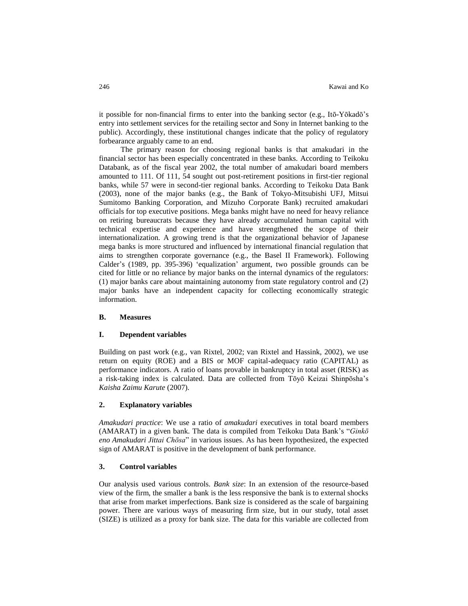it possible for non-financial firms to enter into the banking sector (e.g., Itō-Yōkadō's entry into settlement services for the retailing sector and Sony in Internet banking to the public). Accordingly, these institutional changes indicate that the policy of regulatory forbearance arguably came to an end.

The primary reason for choosing regional banks is that amakudari in the financial sector has been especially concentrated in these banks. According to Teikoku Databank, as of the fiscal year 2002, the total number of amakudari board members amounted to 111. Of 111, 54 sought out post-retirement positions in first-tier regional banks, while 57 were in second-tier regional banks. According to Teikoku Data Bank (2003), none of the major banks (e.g., the Bank of Tokyo-Mitsubishi UFJ, Mitsui Sumitomo Banking Corporation, and Mizuho Corporate Bank) recruited amakudari officials for top executive positions. Mega banks might have no need for heavy reliance on retiring bureaucrats because they have already accumulated human capital with technical expertise and experience and have strengthened the scope of their internationalization. A growing trend is that the organizational behavior of Japanese mega banks is more structured and influenced by international financial regulation that aims to strengthen corporate governance (e.g., the Basel II Framework). Following Calder's (1989, pp. 395-396) 'equalization' argument, two possible grounds can be cited for little or no reliance by major banks on the internal dynamics of the regulators: (1) major banks care about maintaining autonomy from state regulatory control and (2) major banks have an independent capacity for collecting economically strategic information.

#### **B. Measures**

#### **I. Dependent variables**

Building on past work (e.g., van Rixtel, 2002; van Rixtel and Hassink, 2002), we use return on equity (ROE) and a BIS or MOF capital-adequacy ratio (CAPITAL) as performance indicators. A ratio of loans provable in bankruptcy in total asset (RISK) as a risk-taking index is calculated. Data are collected from Tōyō Keizai Shinpōsha's *Kaisha Zaimu Karute* (2007).

#### **2. Explanatory variables**

*Amakudari practice*: We use a ratio of *amakudari* executives in total board members (AMARAT) in a given bank. The data is compiled from Teikoku Data Bank's "*Ginkō eno Amakudari Jittai Chōsa*" in various issues. As has been hypothesized, the expected sign of AMARAT is positive in the development of bank performance.

## **3. Control variables**

Our analysis used various controls. *Bank size*: In an extension of the resource-based view of the firm, the smaller a bank is the less responsive the bank is to external shocks that arise from market imperfections. Bank size is considered as the scale of bargaining power. There are various ways of measuring firm size, but in our study, total asset (SIZE) is utilized as a proxy for bank size. The data for this variable are collected from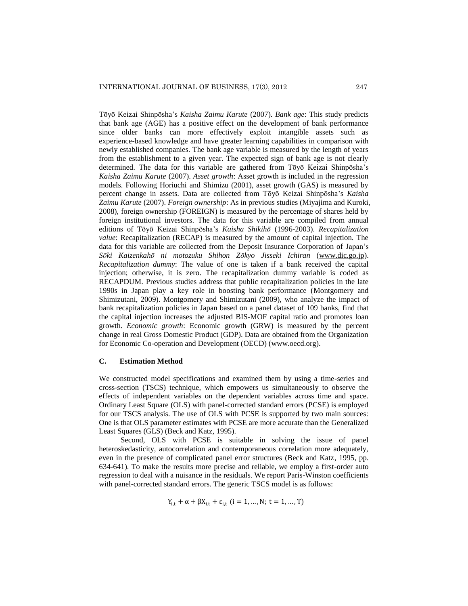Tōyō Keizai Shinpōsha's *Kaisha Zaimu Karute* (2007). *Bank age*: This study predicts that bank age (AGE) has a positive effect on the development of bank performance since older banks can more effectively exploit intangible assets such as experience-based knowledge and have greater learning capabilities in comparison with newly established companies. The bank age variable is measured by the length of years from the establishment to a given year. The expected sign of bank age is not clearly determined. The data for this variable are gathered from Tōyō Keizai Shinpōsha's *Kaisha Zaimu Karute* (2007). *Asset growth*: Asset growth is included in the regression models. Following Horiuchi and Shimizu (2001), asset growth (GAS) is measured by percent change in assets. Data are collected from Tōyō Keizai Shinpōsha's *Kaisha Zaimu Karute* (2007). *Foreign ownership*: As in previous studies (Miyajima and Kuroki, 2008), foreign ownership (FOREIGN) is measured by the percentage of shares held by foreign institutional investors. The data for this variable are compiled from annual editions of Tōyō Keizai Shinpōsha's *Kaisha Shikihō* (1996-2003). *Recapitalization value*: Recapitalization (RECAP) is measured by the amount of capital injection. The data for this variable are collected from the Deposit Insurance Corporation of Japan's *Sōki Kaizenkahō ni motozuku Shihon Zōkyo Jisseki Ichiran* [\(www.dic.go.jp\)](http://www.dic.go.jp/). *Recapitalization dummy*: The value of one is taken if a bank received the capital injection; otherwise, it is zero. The recapitalization dummy variable is coded as RECAPDUM. Previous studies address that public recapitalization policies in the late 1990s in Japan play a key role in boosting bank performance (Montgomery and Shimizutani, 2009). Montgomery and Shimizutani (2009), who analyze the impact of bank recapitalization policies in Japan based on a panel dataset of 109 banks, find that the capital injection increases the adjusted BIS-MOF capital ratio and promotes loan growth. *Economic growth*: Economic growth (GRW) is measured by the percent change in real Gross Domestic Product (GDP). Data are obtained from the Organization for Economic Co-operation and Development (OECD) (www.oecd.org).

## **C. Estimation Method**

We constructed model specifications and examined them by using a time-series and cross-section (TSCS) technique, which empowers us simultaneously to observe the effects of independent variables on the dependent variables across time and space. Ordinary Least Square (OLS) with panel-corrected standard errors (PCSE) is employed for our TSCS analysis. The use of OLS with PCSE is supported by two main sources: One is that OLS parameter estimates with PCSE are more accurate than the Generalized Least Squares (GLS) (Beck and Katz, 1995).

Second, OLS with PCSE is suitable in solving the issue of panel heteroskedasticity, autocorrelation and contemporaneous correlation more adequately, even in the presence of complicated panel error structures (Beck and Katz, 1995, pp. 634-641). To make the results more precise and reliable, we employ a first-order auto regression to deal with a nuisance in the residuals. We report Paris-Winston coefficients with panel-corrected standard errors. The generic TSCS model is as follows:

$$
Y_{i,t} + \alpha + \beta X_{i,t} + \varepsilon_{i,t} \ (i = 1, ..., N; \ t = 1, ..., T)
$$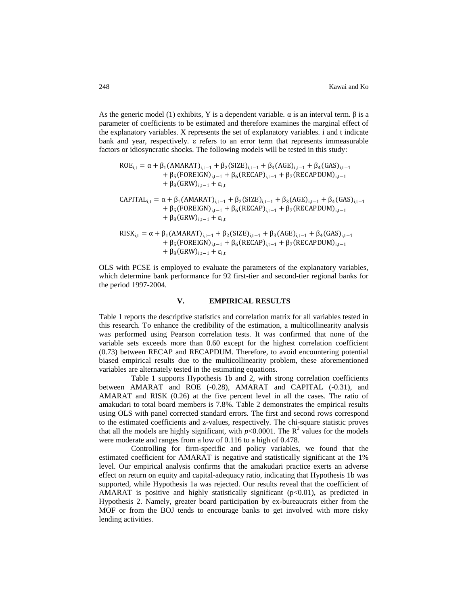As the generic model (1) exhibits, Y is a dependent variable.  $\alpha$  is an interval term. β is a parameter of coefficients to be estimated and therefore examines the marginal effect of the explanatory variables. X represents the set of explanatory variables. i and t indicate bank and year, respectively. ε refers to an error term that represents immeasurable factors or idiosyncratic shocks. The following models will be tested in this study:

$$
ROE_{i,t} = α + β1(AMARAT)i,t-1 + β2(SIZE)i,t-1 + β3(AGE)i,t-1 + β4(GAS)i,t-1 + β5(FOREIGN)i,t-1 + β6(RECAP)i,t-1 + β7(RECAPDUM)i,t-1 + β8(GRW)i,t-1 + εi,t CAPITALi,t = α + β1(AMARAT)i,t-1 + β2(SIZE)i,t-1 + β3(AGE)i,t-1 + β4(GAS)i,t-1 + β5(FOREIGN)i,t-1 + β6(RECAP)i,t-1 + β7(RECAPDUM)i,t-1 + β8(GRW)i,t-1 + εi,t RISKi,t = α + β1(AMARAT)i,t-1 + β2(SIZE)i,t-1 + β3(AGE)i,t-1 + β4(GAS)i,t-1 + β5(FOREIGN)i,t-1 + β6(RECAP)i,t-1 + β7(RECAPDUM)i,t-1 + β8(GRW)i,t-1 + εi,t
$$

OLS with PCSE is employed to evaluate the parameters of the explanatory variables, which determine bank performance for 92 first-tier and second-tier regional banks for the period 1997-2004.

#### **V. EMPIRICAL RESULTS**

Table 1 reports the descriptive statistics and correlation matrix for all variables tested in this research. To enhance the credibility of the estimation, a multicollinearity analysis was performed using Pearson correlation tests. It was confirmed that none of the variable sets exceeds more than 0.60 except for the highest correlation coefficient (0.73) between RECAP and RECAPDUM. Therefore, to avoid encountering potential biased empirical results due to the multicollinearity problem, these aforementioned variables are alternately tested in the estimating equations.

Table 1 supports Hypothesis 1b and 2, with strong correlation coefficients between AMARAT and ROE (-0.28), AMARAT and CAPITAL (-0.31), and AMARAT and RISK (0.26) at the five percent level in all the cases. The ratio of amakudari to total board members is 7.8%. Table 2 demonstrates the empirical results using OLS with panel corrected standard errors. The first and second rows correspond to the estimated coefficients and z-values, respectively. The chi-square statistic proves that all the models are highly significant, with  $p<0.0001$ . The  $R^2$  values for the models were moderate and ranges from a low of 0.116 to a high of 0.478.

Controlling for firm-specific and policy variables, we found that the estimated coefficient for AMARAT is negative and statistically significant at the 1% level. Our empirical analysis confirms that the amakudari practice exerts an adverse effect on return on equity and capital-adequacy ratio, indicating that Hypothesis 1b was supported, while Hypothesis 1a was rejected. Our results reveal that the coefficient of AMARAT is positive and highly statistically significant  $(p<0.01)$ , as predicted in Hypothesis 2. Namely, greater board participation by ex-bureaucrats either from the MOF or from the BOJ tends to encourage banks to get involved with more risky lending activities.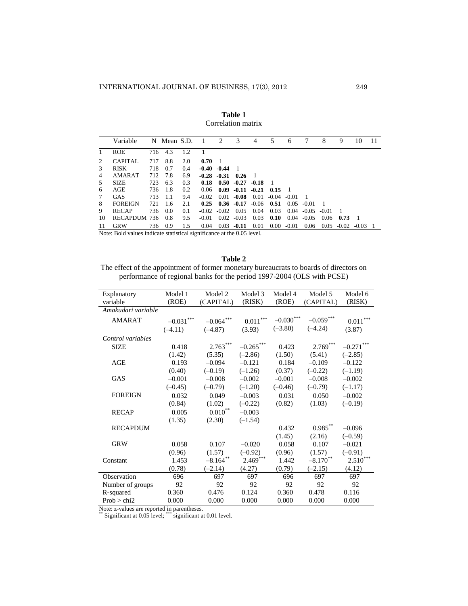**Table 1** Correlation matrix

|               | Variable         |     | N Mean S.D. 1 |     |         | 2               | 3                    | 4              | 5                                    | 6              |               | 8     | 9    | 10                              | 11 |
|---------------|------------------|-----|---------------|-----|---------|-----------------|----------------------|----------------|--------------------------------------|----------------|---------------|-------|------|---------------------------------|----|
|               | <b>ROE</b>       |     | 716 4.3       | 1.2 |         |                 |                      |                |                                      |                |               |       |      |                                 |    |
| $2^{\circ}$   | <b>CAPITAL</b>   | 717 | 8.8           | 2.0 | 0.70    | $\blacksquare$  |                      |                |                                      |                |               |       |      |                                 |    |
| $\mathcal{R}$ | <b>RISK</b>      | 718 | 0.7           | 0.4 |         | $-0.40 - 0.44$  | - 1                  |                |                                      |                |               |       |      |                                 |    |
| 4             | AMARAT           |     | 712 7.8       | 6.9 |         | $-0.28$ $-0.31$ | $0.26 \quad 1$       |                |                                      |                |               |       |      |                                 |    |
| 5             | <b>SIZE</b>      | 723 | 6.3           | 0.3 | 0.18    |                 | $0.50 - 0.27 - 0.18$ |                | - 1                                  |                |               |       |      |                                 |    |
| 6             | AGE              | 736 | -1.8          | 0.2 | 0.06    | 0.09            |                      | $-0.11 - 0.21$ | 0.15                                 | $\blacksquare$ |               |       |      |                                 |    |
| 7             | <b>GAS</b>       | 713 | -1.1          | 9.4 | $-0.02$ |                 |                      |                | $0.01 - 0.08$ $0.01 - 0.04 - 0.01$   |                |               |       |      |                                 |    |
| 8             | <b>FOREIGN</b>   | 721 | 1.6           | 2.1 |         |                 |                      |                | $0.25$ $0.36$ $-0.17$ $-0.06$ $0.51$ |                | $0.05 - 0.01$ |       |      |                                 |    |
| 9             | <b>RECAP</b>     | 736 | 0.0           | 0.1 |         | $-0.02 - 0.02$  | 0.05                 | 0.04           | 0.03                                 | 0.04           | $-0.05$       | -0.01 |      |                                 |    |
| 10            | RECAPDUM 736 0.8 |     |               | 9.5 | $-0.01$ |                 | $0.02 - 0.03$        | 0.03           | 0.10                                 |                | $0.04 - 0.05$ | 0.06  | 0.73 | - 1                             |    |
| 11            | <b>GRW</b>       | 736 | 0.9           | 1.5 | 0.04    | 0.03            | $-0.11$              | 0.01           |                                      | $0.00 - 0.01$  |               |       |      | $0.06$ $0.05$ $-0.02$ $-0.03$ 1 |    |

Note: Bold values indicate statistical significance at the 0.05 level.

**Table 2** The effect of the appointment of former monetary bureaucrats to boards of directors on performance of regional banks for the period 1997-2004 (OLS with PCSE)

| Explanatory        | Model 1     | Model 2         | Model 3        | Model 4          | Model 5                | Model 6      |
|--------------------|-------------|-----------------|----------------|------------------|------------------------|--------------|
| variable           | (ROE)       | (CAPITAL)       | (RISK)         | (ROE)            | (CAPITAL)              | (RISK)       |
| Amakudari variable |             |                 |                |                  |                        |              |
| <b>AMARAT</b>      | $-0.031***$ | ***<br>$-0.064$ | $***$<br>0.011 | $-0.030^{***}\,$ | $-0.059***$            | ***<br>0.011 |
|                    | $(-4.11)$   | $(-4.87)$       | (3.93)         | $(-3.80)$        | $(-4.24)$              | (3.87)       |
| Control variables  |             |                 |                |                  |                        |              |
| <b>SIZE</b>        | 0.418       | $2.763***$      | $-0.265$ ***   | 0.423            | $2.769***$             | $-0.271$     |
|                    | (1.42)      | (5.35)          | $(-2.86)$      | (1.50)           | (5.41)                 | $(-2.85)$    |
| AGE                | 0.193       | $-0.094$        | $-0.121$       | 0.184            | $-0.109$               | $-0.122$     |
|                    | (0.40)      | $(-0.19)$       | $(-1.26)$      | (0.37)           | $(-0.22)$              | $(-1.19)$    |
| GAS                | $-0.001$    | $-0.008$        | $-0.002$       | $-0.001$         | $-0.008$               | $-0.002$     |
|                    | $(-0.45)$   | $(-0.79)$       | $(-1.20)$      | $(-0.46)$        | $(-0.79)$              | $(-1.17)$    |
| <b>FOREIGN</b>     | 0.032       | 0.049           | $-0.003$       | 0.031            | 0.050                  | $-0.002$     |
|                    | (0.84)      | (1.02)          | $(-0.22)$      | (0.82)           | (1.03)                 | $(-0.19)$    |
| <b>RECAP</b>       | 0.005       | $0.010^{**}$    | $-0.003$       |                  |                        |              |
|                    | (1.35)      | (2.30)          | $(-1.54)$      |                  |                        |              |
| <b>RECAPDUM</b>    |             |                 |                | 0.432            | $0.985***$             | $-0.096$     |
|                    |             |                 |                | (1.45)           | (2.16)                 | $(-0.59)$    |
| <b>GRW</b>         | 0.058       | 0.107           | $-0.020$       | 0.058            | 0.107                  | $-0.021$     |
|                    | (0.96)      | (1.57)          | $(-0.92)$      | (0.96)           | (1.57)                 | $(-0.91)$    |
| Constant           | 1.453       | $-8.164$ **     | $2.469***$     | 1.442            | $-8.170$ <sup>**</sup> | ***<br>2.510 |
|                    | (0.78)      | $(-2.14)$       | (4.27)         | (0.79)           | $(-2.15)$              | (4.12)       |
| Observation        | 696         | 697             | 697            | 696              | 697                    | 697          |
| Number of groups   | 92          | 92              | 92             | 92               | 92                     | 92           |
| R-squared          | 0.360       | 0.476           | 0.124          | 0.360            | 0.478                  | 0.116        |
| Prob > chi2        | 0.000       | 0.000           | 0.000          | 0.000            | 0.000                  | 0.000        |

Note: z-values are reported in parentheses.

\*\* Significant at 0.05 level; \*\*\* significant at 0.01 level.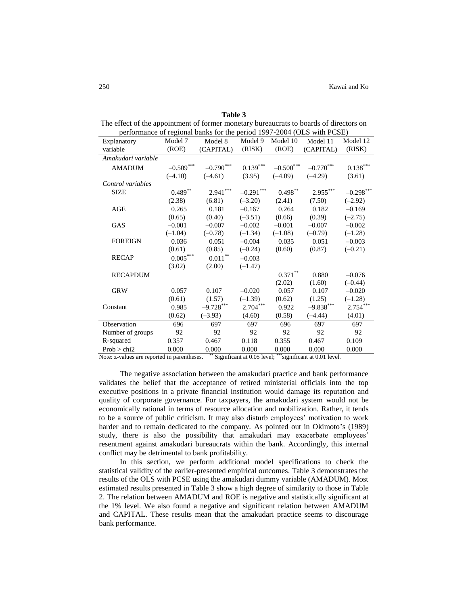| Table 3                                                                                |
|----------------------------------------------------------------------------------------|
| The effect of the appointment of former monetary bureaucrats to boards of directors on |
| performance of regional banks for the period $1007-2004$ (OI S with PCSE)              |

| performance of regional banks for the period $1777-200$ (OEb) while $C_{\text{D}}$ |                        |                    |               |                         |                        |                        |  |  |
|------------------------------------------------------------------------------------|------------------------|--------------------|---------------|-------------------------|------------------------|------------------------|--|--|
| Explanatory                                                                        | Model 7                | Model 8            | Model 9       | Model 10                | Model 11               | Model 12               |  |  |
| variable                                                                           | (ROE)                  | (CAPITAL)          | (RISK)        | (ROE)                   | (CAPITAL)              | (RISK)                 |  |  |
| Amakudari variable                                                                 |                        |                    |               |                         |                        |                        |  |  |
| <b>AMADUM</b>                                                                      | $-0.509***$            | $-0.790***$        | $0.139^{***}$ | $-0.500^{\ast\ast\ast}$ | $-0.770***$            | $0.138^{\ast\ast\ast}$ |  |  |
|                                                                                    | $(-4.10)$              | $(-4.61)$          | (3.95)        | $(-4.09)$               | $(-4.29)$              | (3.61)                 |  |  |
| Control variables                                                                  |                        |                    |               |                         |                        |                        |  |  |
| <b>SIZE</b>                                                                        | $0.489^{**}$           | $2.941***$         | $-0.291***$   | $0.498^{\ast\ast}$      | $\mathbf{2.955}^{***}$ | $-0.298$ ***           |  |  |
|                                                                                    | (2.38)                 | (6.81)             | $(-3.20)$     | (2.41)                  | (7.50)                 | $(-2.92)$              |  |  |
| AGE                                                                                | 0.265                  | 0.181              | $-0.167$      | 0.264                   | 0.182                  | $-0.169$               |  |  |
|                                                                                    | (0.65)                 | (0.40)             | $(-3.51)$     | (0.66)                  | (0.39)                 | $(-2.75)$              |  |  |
| <b>GAS</b>                                                                         | $-0.001$               | $-0.007$           | $-0.002$      | $-0.001$                | $-0.007$               | $-0.002$               |  |  |
|                                                                                    | $(-1.04)$              | $(-0.78)$          | $(-1.34)$     | $(-1.08)$               | $(-0.79)$              | $(-1.28)$              |  |  |
| <b>FOREIGN</b>                                                                     | 0.036                  | 0.051              | $-0.004$      | 0.035                   | 0.051                  | $-0.003$               |  |  |
|                                                                                    | (0.61)                 | (0.85)             | $(-0.24)$     | (0.60)                  | (0.87)                 | $(-0.21)$              |  |  |
| <b>RECAP</b>                                                                       | $0.005^{\ast\ast\ast}$ | $0.011^{\ast\ast}$ | $-0.003$      |                         |                        |                        |  |  |
|                                                                                    | (3.02)                 | (2.00)             | $(-1.47)$     |                         |                        |                        |  |  |
| <b>RECAPDUM</b>                                                                    |                        |                    |               | $0.371^{\ast\ast}$      | 0.880                  | $-0.076$               |  |  |
|                                                                                    |                        |                    |               | (2.02)                  | (1.60)                 | $(-0.44)$              |  |  |
| <b>GRW</b>                                                                         | 0.057                  | 0.107              | $-0.020$      | 0.057                   | 0.107                  | $-0.020$               |  |  |
|                                                                                    | (0.61)                 | (1.57)             | $(-1.39)$     | (0.62)                  | (1.25)                 | $(-1.28)$              |  |  |
| Constant                                                                           | 0.985                  | $-9.728***$        | $2.704***$    | 0.922                   | $-9.838***$            | $2.754***$             |  |  |
|                                                                                    | (0.62)                 | $(-3.93)$          | (4.60)        | (0.58)                  | $(-4.44)$              | (4.01)                 |  |  |
| Observation                                                                        | 696                    | 697                | 697           | 696                     | 697                    | 697                    |  |  |
| Number of groups                                                                   | 92                     | 92                 | 92            | 92                      | 92                     | 92                     |  |  |
| R-squared                                                                          | 0.357                  | 0.467              | 0.118         | 0.355                   | 0.467                  | 0.109                  |  |  |
| Prob > chi2                                                                        | 0.000                  | 0.000              | 0.000         | 0.000                   | 0.000                  | 0.000                  |  |  |

Note: z-values are reported in parentheses. \*\* Significant at 0.05 level; \*\*\*significant at 0.01 level.

The negative association between the amakudari practice and bank performance validates the belief that the acceptance of retired ministerial officials into the top executive positions in a private financial institution would damage its reputation and quality of corporate governance. For taxpayers, the amakudari system would not be economically rational in terms of resource allocation and mobilization. Rather, it tends to be a source of public criticism. It may also disturb employees' motivation to work harder and to remain dedicated to the company. As pointed out in Okimoto's (1989) study, there is also the possibility that amakudari may exacerbate employees' resentment against amakudari bureaucrats within the bank. Accordingly, this internal conflict may be detrimental to bank profitability.

In this section, we perform additional model specifications to check the statistical validity of the earlier-presented empirical outcomes. Table 3 demonstrates the results of the OLS with PCSE using the amakudari dummy variable (AMADUM). Most estimated results presented in Table 3 show a high degree of similarity to those in Table 2. The relation between AMADUM and ROE is negative and statistically significant at the 1% level. We also found a negative and significant relation between AMADUM and CAPITAL. These results mean that the amakudari practice seems to discourage bank performance.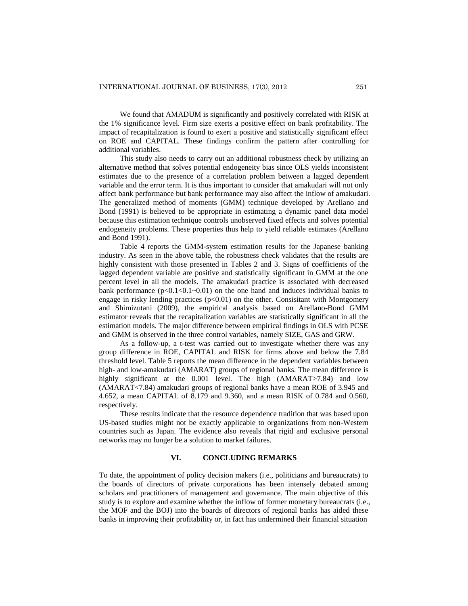We found that AMADUM is significantly and positively correlated with RISK at the 1% significance level. Firm size exerts a positive effect on bank profitability. The impact of recapitalization is found to exert a positive and statistically significant effect on ROE and CAPITAL. These findings confirm the pattern after controlling for additional variables.

This study also needs to carry out an additional robustness check by utilizing an alternative method that solves potential endogeneity bias since OLS yields inconsistent estimates due to the presence of a correlation problem between a lagged dependent variable and the error term. It is thus important to consider that amakudari will not only affect bank performance but bank performance may also affect the inflow of amakudari. The generalized method of moments (GMM) technique developed by Arellano and Bond (1991) is believed to be appropriate in estimating a dynamic panel data model because this estimation technique controls unobserved fixed effects and solves potential endogeneity problems. These properties thus help to yield reliable estimates (Arellano and Bond 1991).

Table 4 reports the GMM-system estimation results for the Japanese banking industry. As seen in the above table, the robustness check validates that the results are highly consistent with those presented in Tables 2 and 3. Signs of coefficients of the lagged dependent variable are positive and statistically significant in GMM at the one percent level in all the models. The amakudari practice is associated with decreased bank performance  $(p<0.1<0.1<0.01)$  on the one hand and induces individual banks to engage in risky lending practices  $(p<0.01)$  on the other. Consisitant with Montgomery and Shimizutani (2009), the empirical analysis based on Arellano-Bond GMM estimator reveals that the recapitalization variables are statistically significant in all the estimation models. The major difference between empirical findings in OLS with PCSE and GMM is observed in the three control variables, namely SIZE, GAS and GRW.

As a follow-up, a t-test was carried out to investigate whether there was any group difference in ROE, CAPITAL and RISK for firms above and below the 7.84 threshold level. Table 5 reports the mean difference in the dependent variables between high- and low-amakudari (AMARAT) groups of regional banks. The mean difference is highly significant at the 0.001 level. The high (AMARAT>7.84) and low (AMARAT<7.84) amakudari groups of regional banks have a mean ROE of 3.945 and 4.652, a mean CAPITAL of 8.179 and 9.360, and a mean RISK of 0.784 and 0.560, respectively.

These results indicate that the resource dependence tradition that was based upon US-based studies might not be exactly applicable to organizations from non-Western countries such as Japan. The evidence also reveals that rigid and exclusive personal networks may no longer be a solution to market failures.

#### **VI. CONCLUDING REMARKS**

To date, the appointment of policy decision makers (i.e., politicians and bureaucrats) to the boards of directors of private corporations has been intensely debated among scholars and practitioners of management and governance. The main objective of this study is to explore and examine whether the inflow of former monetary bureaucrats (i.e., the MOF and the BOJ) into the boards of directors of regional banks has aided these banks in improving their profitability or, in fact has undermined their financial situation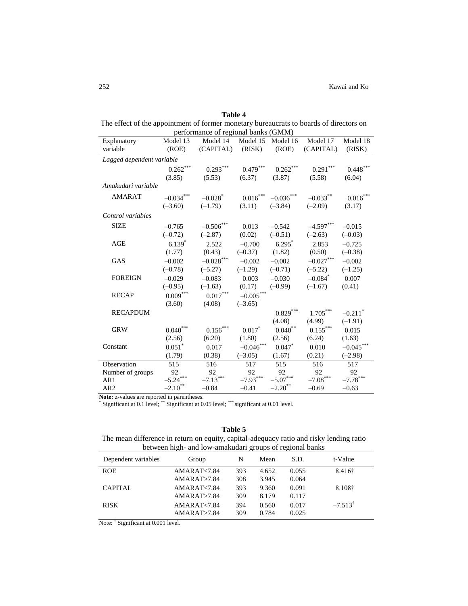| anı |  |
|-----|--|
|-----|--|

| The effect of the appointment of former monetary bureaucrats to boards of directors on |                                     |  |
|----------------------------------------------------------------------------------------|-------------------------------------|--|
|                                                                                        | performance of regional banks (GMM) |  |

| Explanatory               | Model 13                    | $perromance$ or regional banks ( $O$ <i>MM)</i><br>Model 14 | Model 15               | Model 16                   | Model 17               | Model 18               |
|---------------------------|-----------------------------|-------------------------------------------------------------|------------------------|----------------------------|------------------------|------------------------|
| variable                  | (ROE)                       | (CAPITAL)                                                   | (RISK)                 | (ROE)                      | (CAPITAL)              | (RISK)                 |
| Lagged dependent variable |                             |                                                             |                        |                            |                        |                        |
|                           | $0.262\sp{*}{^\ast\sp{*}}}$ | $0.293***$                                                  | $0.479^{\ast\ast\ast}$ | $0.262\sp{*}{^\ast\sp{*}}$ | $0.291^{\ast\ast\ast}$ | $0.448***$             |
|                           | (3.85)                      | (5.53)                                                      | (6.37)                 | (3.87)                     | (5.58)                 | (6.04)                 |
| Amakudari variable        |                             |                                                             |                        |                            |                        |                        |
| <b>AMARAT</b>             | $-0.034***$                 | $-0.028$ <sup>*</sup>                                       | $0.016^{***}\,$        | $-0.036^{***}\,$           | $-0.033$ **            | $0.016^{\ast\ast\ast}$ |
|                           | $(-3.60)$                   | $(-1.79)$                                                   | (3.11)                 | $(-3.84)$                  | $(-2.09)$              | (3.17)                 |
| Control variables         |                             |                                                             |                        |                            |                        |                        |
| <b>SIZE</b>               | $-0.765$                    | $-0.506***$                                                 | 0.013                  | $-0.542$                   | $-4.597***$            | $-0.015$               |
|                           | $(-0.72)$                   | $(-2.87)$                                                   | (0.02)                 | $(-0.51)$                  | $(-2.63)$              | $(-0.03)$              |
| AGE                       | $6.139*$                    | 2.522                                                       | $-0.700$               | $6.295*$                   | 2.853                  | $-0.725$               |
|                           | (1.77)                      | (0.43)                                                      | $(-0.37)$              | (1.82)                     | (0.50)                 | $(-0.38)$              |
| <b>GAS</b>                | $-0.002$                    | $-0.028^{\ast\ast\ast}$                                     | $-0.002$               | $-0.002$                   | $-0.027***$            | $-0.002$               |
|                           | $(-0.78)$                   | $(-5.27)$                                                   | $(-1.29)$              | $(-0.71)$                  | $(-5.22)$              | $(-1.25)$              |
| <b>FOREIGN</b>            | $-0.029$                    | $-0.083$                                                    | 0.003                  | $-0.030$                   | $-0.084$ <sup>*</sup>  | 0.007                  |
|                           | $(-0.95)$                   | $(-1.63)$                                                   | (0.17)                 | $(-0.99)$                  | $(-1.67)$              | (0.41)                 |
| <b>RECAP</b>              | $0.009\overset{***}{}$      | $0.017^{\ast\ast\ast}$                                      | $-0.005***$            |                            |                        |                        |
|                           | (3.60)                      | (4.08)                                                      | $(-3.65)$              |                            |                        |                        |
| <b>RECAPDUM</b>           |                             |                                                             |                        | $0.829***$                 | $1.705^{\ast\ast\ast}$ | $-0.211$ <sup>*</sup>  |
|                           |                             |                                                             |                        | (4.08)                     | (4.99)                 | $(-1.91)$              |
| <b>GRW</b>                | $0.040^\mathrm{***}$        | $0.156^{\ast\ast\ast}$                                      | $0.017*$               | $0.040^\ast{}^\ast$        | $0.155^{\ast\ast\ast}$ | 0.015                  |
|                           | (2.56)                      | (6.20)                                                      | (1.80)                 | (2.56)                     | (6.24)                 | (1.63)                 |
| Constant                  | $0.051$ <sup>*</sup>        | 0.017                                                       | $-0.046$ ***           | $0.047*$                   | 0.010                  | $-0.045***$            |
|                           | (1.79)                      | (0.38)                                                      | $(-3.05)$              | (1.67)                     | (0.21)                 | $(-2.98)$              |
| Observation               | 515                         | 516                                                         | 517                    | 515                        | 516                    | 517                    |
| Number of groups          | 92                          | 92                                                          | 92                     | 92                         | 92                     | 92                     |
| AR1                       | $-5.24***$                  | $-7.13***$                                                  | $-7.93***$             | $-5.07***$                 | $-7.08^{\ast\ast\ast}$ | $-7.78***$             |
| AR <sub>2</sub>           | $-2.10$ <sup>**</sup>       | $-0.84$                                                     | $-0.41$                | $-2.20$ <sup>**</sup>      | $-0.69$                | $-0.63$                |

Note: z-values are reported in parentheses.<br>\* Significant at 0.1 level; \*\* Significant at 0.05 level; \*\*\* significant at 0.01 level.

# **Table 5**

The mean difference in return on equity, capital-adequacy ratio and risky lending ratio between high- and low-amakudari groups of regional banks

| between ingh and low aniandoart groups of regional banns |               |     |       |       |                    |  |  |  |
|----------------------------------------------------------|---------------|-----|-------|-------|--------------------|--|--|--|
| Dependent variables                                      | Group         | N   | Mean  | S.D.  | t-Value            |  |  |  |
| <b>ROE</b>                                               | AMARAT < 7.84 | 393 | 4.652 | 0.055 | 8.416†             |  |  |  |
|                                                          | AMARAT > 7.84 | 308 | 3.945 | 0.064 |                    |  |  |  |
| <b>CAPITAL</b>                                           | AMARAT < 7.84 | 393 | 9.360 | 0.091 | 8.108†             |  |  |  |
|                                                          | AMARAT > 7.84 | 309 | 8.179 | 0.117 |                    |  |  |  |
| <b>RISK</b>                                              | AMARAT < 7.84 | 394 | 0.560 | 0.017 | $-7.513^{\dagger}$ |  |  |  |
|                                                          | AMARAT > 7.84 | 309 | 0.784 | 0.025 |                    |  |  |  |
|                                                          |               |     |       |       |                    |  |  |  |

Note: <sup>†</sup> Significant at 0.001 level.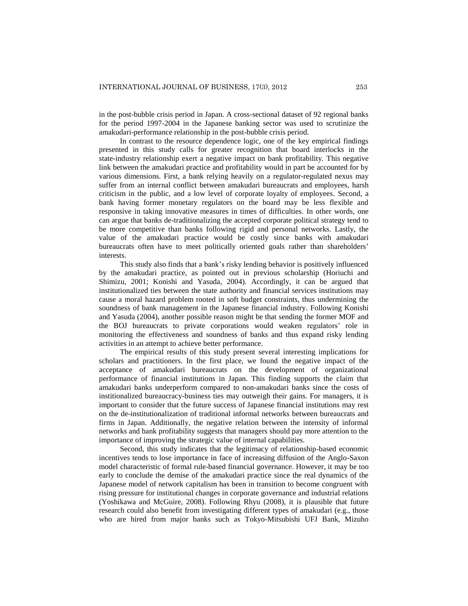in the post-bubble crisis period in Japan. A cross-sectional dataset of 92 regional banks for the period 1997-2004 in the Japanese banking sector was used to scrutinize the amakudari-performance relationship in the post-bubble crisis period.

In contrast to the resource dependence logic, one of the key empirical findings presented in this study calls for greater recognition that board interlocks in the state-industry relationship exert a negative impact on bank profitability. This negative link between the amakudari practice and profitability would in part be accounted for by various dimensions. First, a bank relying heavily on a regulator-regulated nexus may suffer from an internal conflict between amakudari bureaucrats and employees, harsh criticism in the public, and a low level of corporate loyalty of employees. Second, a bank having former monetary regulators on the board may be less flexible and responsive in taking innovative measures in times of difficulties. In other words, one can argue that banks de-traditionalizing the accepted corporate political strategy tend to be more competitive than banks following rigid and personal networks. Lastly, the value of the amakudari practice would be costly since banks with amakudari bureaucrats often have to meet politically oriented goals rather than shareholders' interests.

This study also finds that a bank's risky lending behavior is positively influenced by the amakudari practice, as pointed out in previous scholarship (Horiuchi and Shimizu, 2001; Konishi and Yasuda, 2004). Accordingly, it can be argued that institutionalized ties between the state authority and financial services institutions may cause a moral hazard problem rooted in soft budget constraints, thus undermining the soundness of bank management in the Japanese financial industry. Following Konishi and Yasuda (2004), another possible reason might be that sending the former MOF and the BOJ bureaucrats to private corporations would weaken regulators' role in monitoring the effectiveness and soundness of banks and thus expand risky lending activities in an attempt to achieve better performance.

The empirical results of this study present several interesting implications for scholars and practitioners. In the first place, we found the negative impact of the acceptance of amakudari bureaucrats on the development of organizational performance of financial institutions in Japan. This finding supports the claim that amakudari banks underperform compared to non-amakudari banks since the costs of institionalized bureaucracy-business ties may outweigh their gains. For managers, it is important to consider that the future success of Japanese financial institutions may rest on the de-institutionalization of traditional informal networks between bureaucrats and firms in Japan. Additionally, the negative relation between the intensity of informal networks and bank profitability suggests that managers should pay more attention to the importance of improving the strategic value of internal capabilities.

Second, this study indicates that the legitimacy of relationship-based economic incentives tends to lose importance in face of increasing diffusion of the Anglo-Saxon model characteristic of formal rule-based financial governance. However, it may be too early to conclude the demise of the amakudari practice since the real dynamics of the Japanese model of network capitalism has been in transition to become congruent with rising pressure for institutional changes in corporate governance and industrial relations (Yoshikawa and McGuire, 2008). Following Rhyu (2008), it is plausible that future research could also benefit from investigating different types of amakudari (e.g., those who are hired from major banks such as Tokyo-Mitsubishi UFJ Bank, Mizuho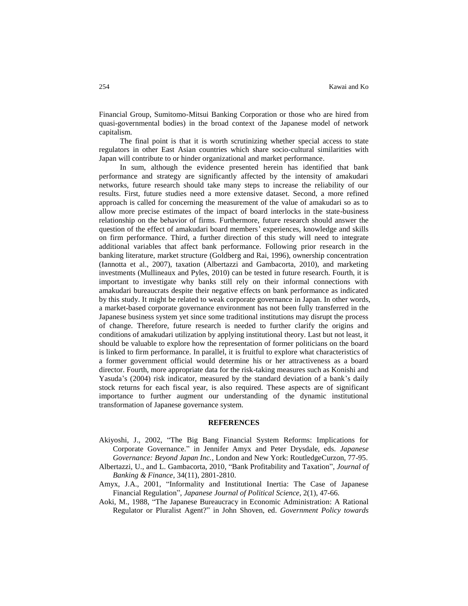Financial Group, Sumitomo-Mitsui Banking Corporation or those who are hired from quasi-governmental bodies) in the broad context of the Japanese model of network capitalism.

The final point is that it is worth scrutinizing whether special access to state regulators in other East Asian countries which share socio-cultural similarities with Japan will contribute to or hinder organizational and market performance.

In sum, although the evidence presented herein has identified that bank performance and strategy are significantly affected by the intensity of amakudari networks, future research should take many steps to increase the reliability of our results. First, future studies need a more extensive dataset. Second, a more refined approach is called for concerning the measurement of the value of amakudari so as to allow more precise estimates of the impact of board interlocks in the state-business relationship on the behavior of firms. Furthermore, future research should answer the question of the effect of amakudari board members' experiences, knowledge and skills on firm performance. Third, a further direction of this study will need to integrate additional variables that affect bank performance. Following prior research in the banking literature, market structure (Goldberg and Rai, 1996), ownership concentration (Iannotta et al., 2007), taxation (Albertazzi and Gambacorta, 2010), and marketing investments (Mullineaux and Pyles, 2010) can be tested in future research. Fourth, it is important to investigate why banks still rely on their informal connections with amakudari bureaucrats despite their negative effects on bank performance as indicated by this study. It might be related to weak corporate governance in Japan. In other words, a market-based corporate governance environment has not been fully transferred in the Japanese business system yet since some traditional institutions may disrupt the process of change. Therefore, future research is needed to further clarify the origins and conditions of amakudari utilization by applying institutional theory. Last but not least, it should be valuable to explore how the representation of former politicians on the board is linked to firm performance. In parallel, it is fruitful to explore what characteristics of a former government official would determine his or her attractiveness as a board director. Fourth, more appropriate data for the risk-taking measures such as Konishi and Yasuda's (2004) risk indicator, measured by the standard deviation of a bank's daily stock returns for each fiscal year, is also required. These aspects are of significant importance to further augment our understanding of the dynamic institutional transformation of Japanese governance system.

#### **REFERENCES**

- Akiyoshi, J., 2002, "The Big Bang Financial System Reforms: Implications for Corporate Governance." in Jennifer Amyx and Peter Drysdale, eds. *Japanese Governance: Beyond Japan Inc.*, London and New York: RoutledgeCurzon, 77-95.
- Albertazzi, U., and L. Gambacorta, 2010, "Bank Profitability and Taxation", *Journal of Banking & Finance*, 34(11), 2801-2810.
- Amyx, J.A., 2001, "Informality and Institutional Inertia: The Case of Japanese Financial Regulation", *Japanese Journal of Political Science*, 2(1), 47-66.
- Aoki, M., 1988, "The Japanese Bureaucracy in Economic Administration: A Rational Regulator or Pluralist Agent?" in John Shoven, ed. *Government Policy towards*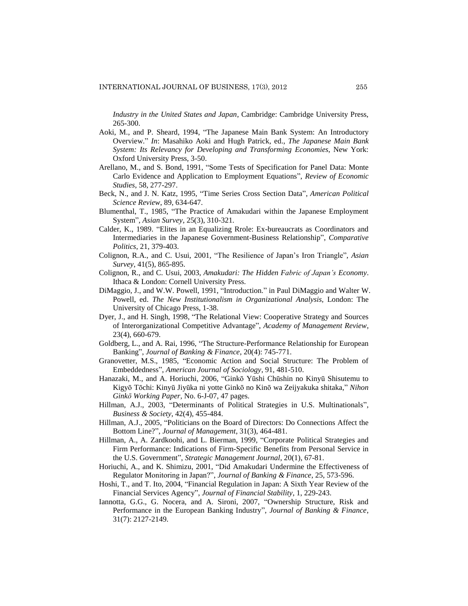*Industry in the United States and Japan*, Cambridge: Cambridge University Press, 265-300.

- Aoki, M., and P. Sheard, 1994, "The Japanese Main Bank System: An Introductory Overview." *In*: Masahiko Aoki and Hugh Patrick, ed., *The Japanese Main Bank System: Its Relevancy for Developing and Transforming Economies*, New York: Oxford University Press, 3-50.
- Arellano, M., and S. Bond, 1991, "Some Tests of Specification for Panel Data: Monte Carlo Evidence and Application to Employment Equations", *Review of Economic Studies*, 58, 277-297.
- Beck, N., and J. N. Katz, 1995, "Time Series Cross Section Data", *American Political Science Review*, 89, 634-647.
- Blumenthal, T., 1985, "The Practice of Amakudari within the Japanese Employment System", *Asian Survey*, 25(3), 310-321.
- Calder, K., 1989. "Elites in an Equalizing Rrole: Ex-bureaucrats as Coordinators and Intermediaries in the Japanese Government-Business Relationship", *Comparative Politics*, 21, 379-403.
- Colignon, R.A., and C. Usui, 2001, "The Resilience of Japan's Iron Triangle", *Asian Survey*, 41(5), 865-895.
- Colignon, R., and C. Usui, 2003, *Amakudari: The Hidden Fabric of Japan's Economy*. Ithaca & London: Cornell University Press.
- DiMaggio, J., and W.W. Powell, 1991, "Introduction." in Paul DiMaggio and Walter W. Powell, ed. *The New Institutionalism in Organizational Analysis,* London: The University of Chicago Press, 1-38.
- Dyer, J., and H. Singh, 1998, "The Relational View: Cooperative Strategy and Sources of Interorganizational Competitive Advantage", *Academy of Management Review*, 23(4), 660-679.
- Goldberg, L., and A. Rai, 1996, "The Structure-Performance Relationship for European Banking", *Journal of Banking & Finance*, 20(4): 745-771.
- Granovetter, M.S., 1985, "Economic Action and Social Structure: The Problem of Embeddedness", *American Journal of Sociology*, 91, 481-510.
- Hanazaki, M., and A. Horiuchi, 2006, "Ginkō Yūshi Chūshin no Kinyū Shisutemu to Kigyō Tōchi: Kinyū Jiyūka ni yotte Ginkō no Kinō wa Zeijyakuka shitaka," *Nihon Ginkō Working Paper,* No. 6-J-07, 47 pages.
- Hillman, A.J., 2003, "Determinants of Political Strategies in U.S. Multinationals", *Business & Society*, 42(4), 455-484.
- Hillman, A.J., 2005, "Politicians on the Board of Directors: Do Connections Affect the Bottom Line?", *Journal of Management*, 31(3), 464-481.
- Hillman, A., A. Zardkoohi, and L. Bierman, 1999, "Corporate Political Strategies and Firm Performance: Indications of Firm-Specific Benefits from Personal Service in the U.S. Government", *Strategic Management Journal*, 20(1), 67-81.
- Horiuchi, A., and K. Shimizu, 2001, "Did Amakudari Undermine the Effectiveness of Regulator Monitoring in Japan?", *Journal of Banking & Finance*, 25, 573-596.
- Hoshi, T., and T. Ito, 2004, "Financial Regulation in Japan: A Sixth Year Review of the Financial Services Agency", *Journal of Financial Stability*, 1, 229-243.
- Iannotta, G.G., G. Nocera, and A. Sironi, 2007, "Ownership Structure, Risk and Performance in the European Banking Industry", *Journal of Banking & Finance*, 31(7): 2127-2149.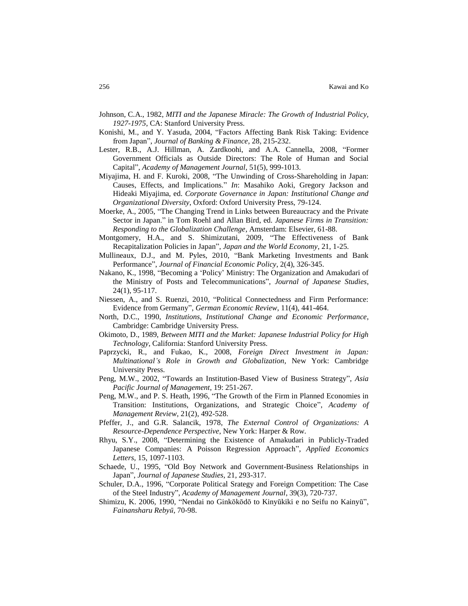- Johnson, C.A., 1982, *MITI and the Japanese Miracle: The Growth of Industrial Policy, 1927-1975*, CA: Stanford University Press.
- Konishi, M., and Y. Yasuda, 2004, "Factors Affecting Bank Risk Taking: Evidence from Japan", *Journal of Banking & Finance*, 28, 215-232.
- Lester, R.B., A.J. Hillman, A. Zardkoohi, and A.A. Cannella, 2008, "Former Government Officials as Outside Directors: The Role of Human and Social Capital", *Academy of Management Journal*, 51(5), 999-1013.
- Miyajima, H. and F. Kuroki, 2008, "The Unwinding of Cross-Shareholding in Japan: Causes, Effects, and Implications." *In*: Masahiko Aoki, Gregory Jackson and Hideaki Miyajima, ed. *Corporate Governance in Japan: Institutional Change and Organizational Diversity*, Oxford: Oxford University Press, 79-124.
- Moerke, A., 2005, "The Changing Trend in Links between Bureaucracy and the Private Sector in Japan." in Tom Roehl and Allan Bird, ed. *Japanese Firms in Transition: Responding to the Globalization Challenge*, Amsterdam: Elsevier, 61-88.
- Montgomery, H.A., and S. Shimizutani, 2009, "The Effectiveness of Bank Recapitalization Policies in Japan", *Japan and the World Economy*, 21, 1-25.
- Mullineaux, D.J., and M. Pyles, 2010, "Bank Marketing Investments and Bank Performance", *Journal of Financial Economic Policy*, 2(4), 326-345.
- Nakano, K., 1998, "Becoming a 'Policy' Ministry: The Organization and Amakudari of the Ministry of Posts and Telecommunications", *Journal of Japanese Studies*, 24(1), 95-117.
- Niessen, A., and S. Ruenzi, 2010, "Political Connectedness and Firm Performance: Evidence from Germany", *German Economic Review*, 11(4), 441-464.
- North, D.C., 1990, *Institutions, Institutional Change and Economic Performance*, Cambridge: Cambridge University Press.
- Okimoto, D., 1989, *Between MITI and the Market: Japanese Industrial Policy for High Technology*, California: Stanford University Press.
- Paprzycki, R., and Fukao, K., 2008, *Foreign Direct Investment in Japan: Multinational's Role in Growth and Globalization*, New York: Cambridge University Press.
- Peng, M.W., 2002, "Towards an Institution-Based View of Business Strategy", *Asia Pacific Journal of Management*, 19: 251-267.
- Peng, M.W., and P. S. Heath, 1996, "The Growth of the Firm in Planned Economies in Transition: Institutions, Organizations, and Strategic Choice", *Academy of Management Review*, 21(2), 492-528.
- Pfeffer, J., and G.R. Salancik, 1978, *The External Control of Organizations: A Resource-Dependence Perspective*, New York: Harper & Row.
- Rhyu, S.Y., 2008, "Determining the Existence of Amakudari in Publicly-Traded Japanese Companies: A Poisson Regression Approach", *Applied Economics Letters*, 15, 1097-1103.
- Schaede, U., 1995, "Old Boy Network and Government-Business Relationships in Japan", *Journal of Japanese Studies*, 21, 293-317.
- Schuler, D.A., 1996, "Corporate Political Srategy and Foreign Competition: The Case of the Steel Industry", *Academy of Management Journal*, 39(3), 720-737.
- Shimizu, K. 2006, 1990, "Nendai no Ginkōkōdō to Kinyūkiki e no Seifu no Kainyū", *Fainansharu Rebyū*, 70-98.